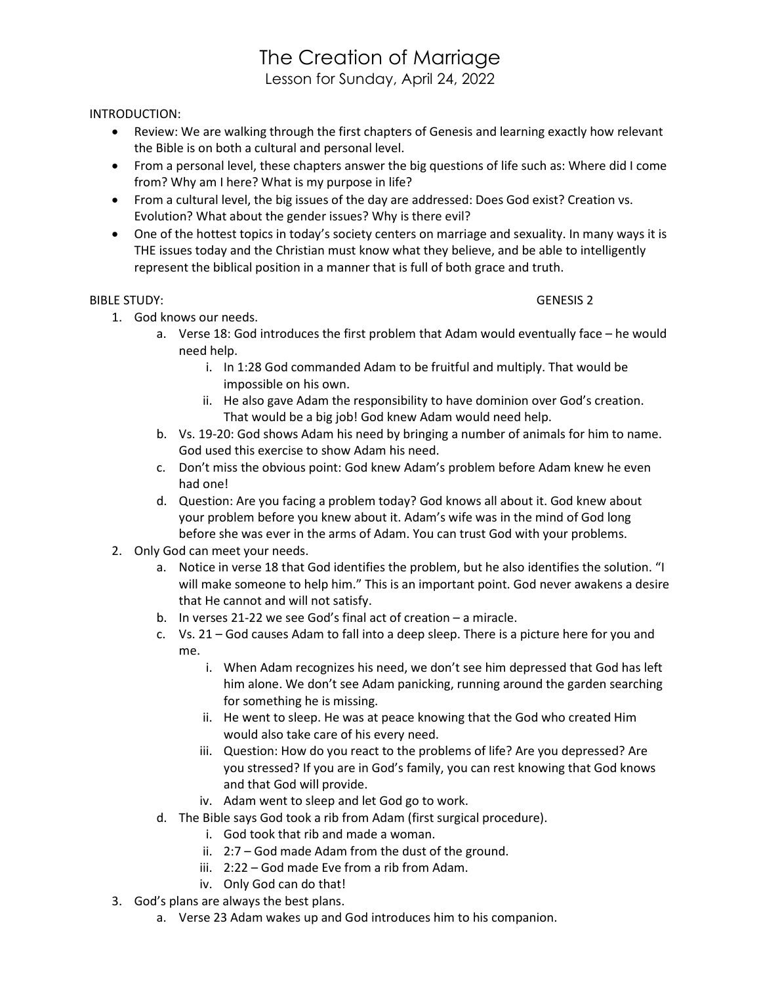## The Creation of Marriage

Lesson for Sunday, April 24, 2022

## INTRODUCTION:

- Review: We are walking through the first chapters of Genesis and learning exactly how relevant the Bible is on both a cultural and personal level.
- From a personal level, these chapters answer the big questions of life such as: Where did I come from? Why am I here? What is my purpose in life?
- From a cultural level, the big issues of the day are addressed: Does God exist? Creation vs. Evolution? What about the gender issues? Why is there evil?
- One of the hottest topics in today's society centers on marriage and sexuality. In many ways it is THE issues today and the Christian must know what they believe, and be able to intelligently represent the biblical position in a manner that is full of both grace and truth.

## BIBLE STUDY: GENESIS 2

- 1. God knows our needs.
	- a. Verse 18: God introduces the first problem that Adam would eventually face he would need help.
		- i. In 1:28 God commanded Adam to be fruitful and multiply. That would be impossible on his own.
		- ii. He also gave Adam the responsibility to have dominion over God's creation. That would be a big job! God knew Adam would need help.
	- b. Vs. 19-20: God shows Adam his need by bringing a number of animals for him to name. God used this exercise to show Adam his need.
	- c. Don't miss the obvious point: God knew Adam's problem before Adam knew he even had one!
	- d. Question: Are you facing a problem today? God knows all about it. God knew about your problem before you knew about it. Adam's wife was in the mind of God long before she was ever in the arms of Adam. You can trust God with your problems.
- 2. Only God can meet your needs.
	- a. Notice in verse 18 that God identifies the problem, but he also identifies the solution. "I will make someone to help him." This is an important point. God never awakens a desire that He cannot and will not satisfy.
	- b. In verses 21-22 we see God's final act of creation a miracle.
	- c. Vs. 21 God causes Adam to fall into a deep sleep. There is a picture here for you and me.
		- i. When Adam recognizes his need, we don't see him depressed that God has left him alone. We don't see Adam panicking, running around the garden searching for something he is missing.
		- ii. He went to sleep. He was at peace knowing that the God who created Him would also take care of his every need.
		- iii. Question: How do you react to the problems of life? Are you depressed? Are you stressed? If you are in God's family, you can rest knowing that God knows and that God will provide.
		- iv. Adam went to sleep and let God go to work.
	- d. The Bible says God took a rib from Adam (first surgical procedure).
		- i. God took that rib and made a woman.
			- ii. 2:7 God made Adam from the dust of the ground.
		- iii. 2:22 God made Eve from a rib from Adam.
		- iv. Only God can do that!
- 3. God's plans are always the best plans.
	- a. Verse 23 Adam wakes up and God introduces him to his companion.